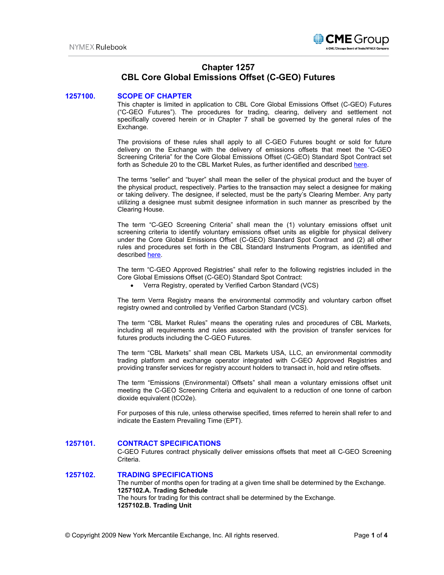

# **Chapter 1257 CBL Core Global Emissions Offset (C-GEO) Futures**

## **1257100. SCOPE OF CHAPTER**

This chapter is limited in application to CBL Core Global Emissions Offset (C-GEO) Futures ("C-GEO Futures"). The procedures for trading, clearing, delivery and settlement not specifically covered herein or in Chapter 7 shall be governed by the general rules of the Exchange.

The provisions of these rules shall apply to all C-GEO Futures bought or sold for future delivery on the Exchange with the delivery of emissions offsets that meet the "C-GEO Screening Criteria" for the Core Global Emissions Offset (C-GEO) Standard Spot Contract set forth as Schedule 20 to the CBL Market Rules, as further identified and described [here.](https://xpansiv.com/cbl-operating-rules/)

The terms "seller" and "buyer" shall mean the seller of the physical product and the buyer of the physical product, respectively. Parties to the transaction may select a designee for making or taking delivery. The designee, if selected, must be the party's Clearing Member. Any party utilizing a designee must submit designee information in such manner as prescribed by the Clearing House.

The term "C-GEO Screening Criteria" shall mean the (1) voluntary emissions offset unit screening criteria to identify voluntary emissions offset units as eligible for physical delivery under the Core Global Emissions Offset (C-GEO) Standard Spot Contract and (2) all other rules and procedures set forth in the CBL Standard Instruments Program, as identified and describe[d here.](https://pub.lucidpress.com/CBL-Standard-Instruments-Program/#qwmjGnw0s9b6)

The term "C-GEO Approved Registries" shall refer to the following registries included in the Core Global Emissions Offset (C-GEO) Standard Spot Contract:

• Verra Registry, operated by Verified Carbon Standard (VCS)

The term Verra Registry means the environmental commodity and voluntary carbon offset registry owned and controlled by Verified Carbon Standard (VCS).

The term "CBL Market Rules" means the operating rules and procedures of CBL Markets, including all requirements and rules associated with the provision of transfer services for futures products including the C-GEO Futures.

The term "CBL Markets" shall mean CBL Markets USA, LLC, an environmental commodity trading platform and exchange operator integrated with C-GEO Approved Registries and providing transfer services for registry account holders to transact in, hold and retire offsets.

The term "Emissions (Environmental) Offsets" shall mean a voluntary emissions offset unit meeting the C-GEO Screening Criteria and equivalent to a reduction of one tonne of carbon dioxide equivalent (tCO2e).

For purposes of this rule, unless otherwise specified, times referred to herein shall refer to and indicate the Eastern Prevailing Time (EPT).

## **1257101. CONTRACT SPECIFICATIONS**

C-GEO Futures contract physically deliver emissions offsets that meet all C-GEO Screening Criteria.

## **1257102. TRADING SPECIFICATIONS**

The number of months open for trading at a given time shall be determined by the Exchange. **1257102.A. Trading Schedule**  The hours for trading for this contract shall be determined by the Exchange. **1257102.B. Trading Unit**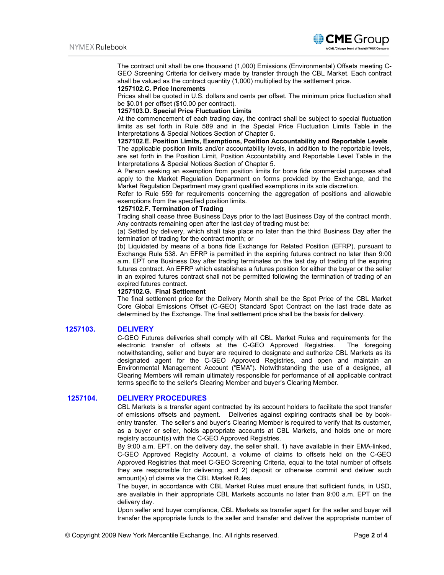

The contract unit shall be one thousand (1,000) Emissions (Environmental) Offsets meeting C-GEO Screening Criteria for delivery made by transfer through the CBL Market. Each contract shall be valued as the contract quantity (1,000) multiplied by the settlement price.

#### **1257102.C. Price Increments**

Prices shall be quoted in U.S. dollars and cents per offset. The minimum price fluctuation shall be \$0.01 per offset (\$10.00 per contract).

#### **1257103.D. Special Price Fluctuation Limits**

At the commencement of each trading day, the contract shall be subject to special fluctuation limits as set forth in Rule 589 and in the Special Price Fluctuation Limits Table in the Interpretations & Special Notices Section of Chapter 5.

## **1257102.E. Position Limits, Exemptions, Position Accountability and Reportable Levels**

The applicable position limits and/or accountability levels, in addition to the reportable levels, are set forth in the Position Limit, Position Accountability and Reportable Level Table in the Interpretations & Special Notices Section of Chapter 5.

A Person seeking an exemption from position limits for bona fide commercial purposes shall apply to the Market Regulation Department on forms provided by the Exchange, and the Market Regulation Department may grant qualified exemptions in its sole discretion.

Refer to Rule 559 for requirements concerning the aggregation of positions and allowable exemptions from the specified position limits.

#### **1257102.F. Termination of Trading**

Trading shall cease three Business Days prior to the last Business Day of the contract month. Any contracts remaining open after the last day of trading must be:

(a) Settled by delivery, which shall take place no later than the third Business Day after the termination of trading for the contract month; or

(b) Liquidated by means of a bona fide Exchange for Related Position (EFRP), pursuant to Exchange Rule 538. An EFRP is permitted in the expiring futures contract no later than 9:00 a.m. EPT one Business Day after trading terminates on the last day of trading of the expiring futures contract. An EFRP which establishes a futures position for either the buyer or the seller in an expired futures contract shall not be permitted following the termination of trading of an expired futures contract.

#### **1257102.G. Final Settlement**

The final settlement price for the Delivery Month shall be the Spot Price of the CBL Market Core Global Emissions Offset (C-GEO) Standard Spot Contract on the last trade date as determined by the Exchange. The final settlement price shall be the basis for delivery.

## **1257103. DELIVERY**

C-GEO Futures deliveries shall comply with all CBL Market Rules and requirements for the electronic transfer of offsets at the C-GEO Approved Registries. The foregoing notwithstanding, seller and buyer are required to designate and authorize CBL Markets as its designated agent for the C-GEO Approved Registries, and open and maintain an Environmental Management Account ("EMA"). Notwithstanding the use of a designee, all Clearing Members will remain ultimately responsible for performance of all applicable contract terms specific to the seller's Clearing Member and buyer's Clearing Member.

## **1257104. DELIVERY PROCEDURES**

CBL Markets is a transfer agent contracted by its account holders to facilitate the spot transfer of emissions offsets and payment. Deliveries against expiring contracts shall be by bookentry transfer. The seller's and buyer's Clearing Member is required to verify that its customer, as a buyer or seller, holds appropriate accounts at CBL Markets, and holds one or more registry account(s) with the C-GEO Approved Registries.

By 9:00 a.m. EPT, on the delivery day, the seller shall, 1) have available in their EMA-linked, C-GEO Approved Registry Account, a volume of claims to offsets held on the C-GEO Approved Registries that meet C-GEO Screening Criteria, equal to the total number of offsets they are responsible for delivering, and 2) deposit or otherwise commit and deliver such amount(s) of claims via the CBL Market Rules.

The buyer, in accordance with CBL Market Rules must ensure that sufficient funds, in USD, are available in their appropriate CBL Markets accounts no later than 9:00 a.m. EPT on the delivery day.

Upon seller and buyer compliance, CBL Markets as transfer agent for the seller and buyer will transfer the appropriate funds to the seller and transfer and deliver the appropriate number of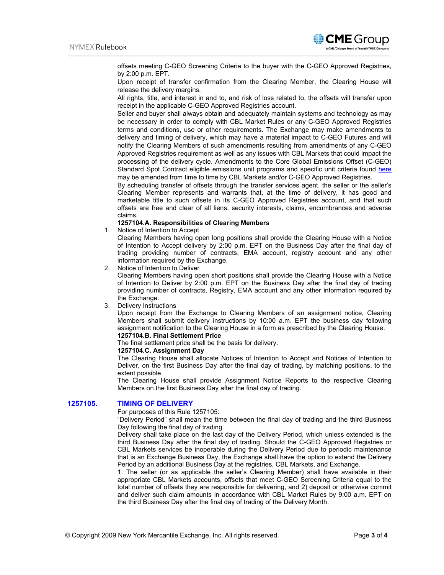

offsets meeting C-GEO Screening Criteria to the buyer with the C-GEO Approved Registries, by 2:00 p.m. EPT.

Upon receipt of transfer confirmation from the Clearing Member, the Clearing House will release the delivery margins.

All rights, title, and interest in and to, and risk of loss related to, the offsets will transfer upon receipt in the applicable C-GEO Approved Registries account.

Seller and buyer shall always obtain and adequately maintain systems and technology as may be necessary in order to comply with CBL Market Rules or any C-GEO Approved Registries terms and conditions, use or other requirements. The Exchange may make amendments to delivery and timing of delivery, which may have a material impact to C-GEO Futures and will notify the Clearing Members of such amendments resulting from amendments of any C-GEO Approved Registries requirement as well as any issues with CBL Markets that could impact the processing of the delivery cycle. Amendments to the Core Global Emissions Offset (C-GEO) Standard Spot Contract eligible emissions unit programs and specific unit criteria found [here](https://pub.lucidpress.com/CBL-Standard-Instruments-Program/#Mwmj9-lrE6Pe) may be amended from time to time by CBL Markets and/or C-GEO Approved Registries.

By scheduling transfer of offsets through the transfer services agent, the seller or the seller's Clearing Member represents and warrants that, at the time of delivery, it has good and marketable title to such offsets in its C-GEO Approved Registries account, and that such offsets are free and clear of all liens, security interests, claims, encumbrances and adverse claims.

#### **1257104.A. Responsibilities of Clearing Members**

1. Notice of Intention to Accept

Clearing Members having open long positions shall provide the Clearing House with a Notice of Intention to Accept delivery by 2:00 p.m. EPT on the Business Day after the final day of trading providing number of contracts, EMA account, registry account and any other information required by the Exchange.

2. Notice of Intention to Deliver

Clearing Members having open short positions shall provide the Clearing House with a Notice of Intention to Deliver by 2:00 p.m. EPT on the Business Day after the final day of trading providing number of contracts, Registry, EMA account and any other information required by the Exchange.

3. Delivery Instructions

Upon receipt from the Exchange to Clearing Members of an assignment notice, Clearing Members shall submit delivery instructions by 10:00 a.m. EPT the business day following assignment notification to the Clearing House in a form as prescribed by the Clearing House. **1257104.B. Final Settlement Price** 

The final settlement price shall be the basis for delivery.

#### **1257104.C. Assignment Day**

The Clearing House shall allocate Notices of Intention to Accept and Notices of Intention to Deliver, on the first Business Day after the final day of trading, by matching positions, to the extent possible.

The Clearing House shall provide Assignment Notice Reports to the respective Clearing Members on the first Business Day after the final day of trading.

## **1257105. TIMING OF DELIVERY**

For purposes of this Rule 1257105:

"Delivery Period" shall mean the time between the final day of trading and the third Business Day following the final day of trading.

Delivery shall take place on the last day of the Delivery Period, which unless extended is the third Business Day after the final day of trading. Should the C-GEO Approved Registries or CBL Markets services be inoperable during the Delivery Period due to periodic maintenance that is an Exchange Business Day, the Exchange shall have the option to extend the Delivery Period by an additional Business Day at the registries, CBL Markets, and Exchange.

1. The seller (or as applicable the seller's Clearing Member) shall have available in their appropriate CBL Markets accounts, offsets that meet C-GEO Screening Criteria equal to the total number of offsets they are responsible for delivering, and 2) deposit or otherwise commit and deliver such claim amounts in accordance with CBL Market Rules by 9:00 a.m. EPT on the third Business Day after the final day of trading of the Delivery Month.